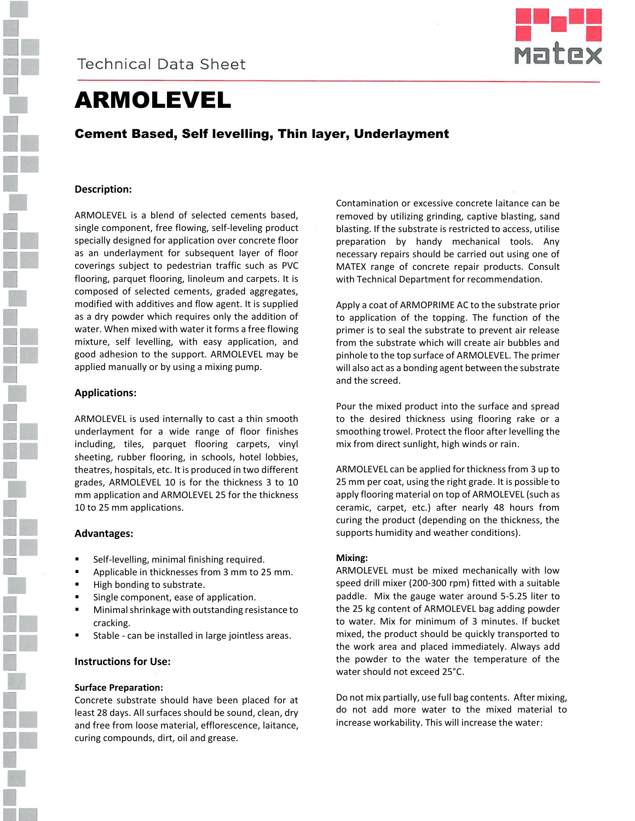

# ARMOLEVEL

Cement Based, Self levelling, Thin layer, Underlayment

# **Description:**

ARMOLEVEL is a blend of selected cements based, single component, free flowing, self-leveling product specially designed for application over concrete floor as an underlayment for subsequent layer of floor coverings subject to pedestrian traffic such as PVC flooring, parquet flooring, linoleum and carpets. It is composed of selected cements, graded aggregates, modified with additives and flow agent. It is supplied as a dry powder which requires only the addition of water. When mixed with water it forms a free flowing mixture, self levelling, with easy application, and good adhesion to the support. ARMOLEVEL may be applied manually or by using a mixing pump.

### **Applications:**

ARMOLEVEL is used internally to cast a thin smooth underlayment for a wide range of floor finishes including, tiles, parquet flooring carpets, vinyl sheeting, rubber flooring, in schools, hotel lobbies, theatres, hospitals, etc. It is produced in two different grades, ARMOLEVEL 10 is for the thickness 3 to 10 mm application and ARMOLEVEL 25 for the thickness 10 to 25 mm applications.

#### **Advantages:**

- Self-levelling, minimal finishing required.
- Applicable in thicknesses from 3 mm to 25 mm.
- High bonding to substrate.
- Single component, ease of application.
- **Minimal shrinkage with outstanding resistance to** cracking.
- Stable can be installed in large jointless areas.

# **Instructions for Use:**

#### **Surface Preparation:**

Concrete substrate should have been placed for at least 28 days. All surfaces should be sound, clean, dry and free from loose material, efflorescence, laitance, curing compounds, dirt, oil and grease.

Contamination or excessive concrete laitance can be removed by utilizing grinding, captive blasting, sand blasting. If the substrate is restricted to access, utilise preparation by handy mechanical tools. Any necessary repairs should be carried out using one of MATEX range of concrete repair products. Consult with Technical Department for recommendation.

Apply a coat of ARMOPRIME AC to the substrate prior to application of the topping. The function of the primer is to seal the substrate to prevent air release from the substrate which will create air bubbles and pinhole to the top surface of ARMOLEVEL. The primer will also act as a bonding agent between the substrate and the screed.

Pour the mixed product into the surface and spread to the desired thickness using flooring rake or a smoothing trowel. Protect the floor after levelling the mix from direct sunlight, high winds or rain.

ARMOLEVEL can be applied for thickness from 3 up to 25 mm per coat, using the right grade. It is possible to apply flooring material on top of ARMOLEVEL (such as ceramic, carpet, etc.) after nearly 48 hours from curing the product (depending on the thickness, the supports humidity and weather conditions).

#### **Mixing:**

ARMOLEVEL must be mixed mechanically with low speed drill mixer (200-300 rpm) fitted with a suitable paddle. Mix the gauge water around 5-5.25 liter to the 25 kg content of ARMOLEVEL bag adding powder to water. Mix for minimum of 3 minutes. If bucket mixed, the product should be quickly transported to the work area and placed immediately. Always add the powder to the water the temperature of the water should not exceed 25°C.

Do not mix partially, use full bag contents. After mixing, do not add more water to the mixed material to increase workability. This will increase the water: